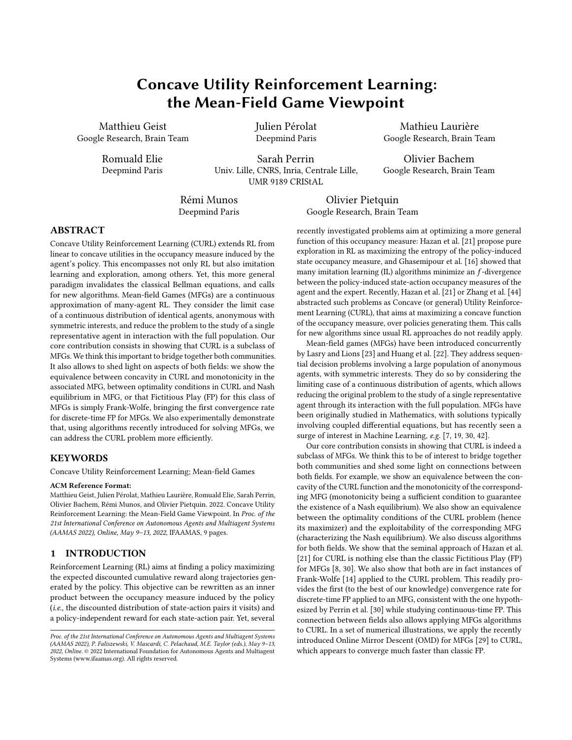# Concave Utility Reinforcement Learning: the Mean-Field Game Viewpoint

Matthieu Geist Google Research, Brain Team

> Romuald Elie Deepmind Paris

Julien Pérolat Deepmind Paris

Sarah Perrin Univ. Lille, CNRS, Inria, Centrale Lille, UMR 9189 CRIStAL

Rémi Munos Deepmind Paris

Olivier Pietquin Google Research, Brain Team

# ABSTRACT

Concave Utility Reinforcement Learning (CURL) extends RL from linear to concave utilities in the occupancy measure induced by the agent's policy. This encompasses not only RL but also imitation learning and exploration, among others. Yet, this more general paradigm invalidates the classical Bellman equations, and calls for new algorithms. Mean-field Games (MFGs) are a continuous approximation of many-agent RL. They consider the limit case of a continuous distribution of identical agents, anonymous with symmetric interests, and reduce the problem to the study of a single representative agent in interaction with the full population. Our core contribution consists in showing that CURL is a subclass of MFGs. We think this important to bridge together both communities. It also allows to shed light on aspects of both fields: we show the equivalence between concavity in CURL and monotonicity in the associated MFG, between optimality conditions in CURL and Nash equilibrium in MFG, or that Fictitious Play (FP) for this class of MFGs is simply Frank-Wolfe, bringing the first convergence rate for discrete-time FP for MFGs. We also experimentally demonstrate that, using algorithms recently introduced for solving MFGs, we can address the CURL problem more efficiently.

# **KEYWORDS**

Concave Utility Reinforcement Learning; Mean-field Games

#### ACM Reference Format:

Matthieu Geist, Julien Pérolat, Mathieu Laurière, Romuald Elie, Sarah Perrin, Olivier Bachem, Rémi Munos, and Olivier Pietquin. 2022. Concave Utility Reinforcement Learning: the Mean-Field Game Viewpoint. In Proc. of the 21st International Conference on Autonomous Agents and Multiagent Systems (AAMAS 2022), Online, May 9–13, 2022, IFAAMAS, [9](#page-8-0) pages.

#### <span id="page-0-0"></span>1 INTRODUCTION

Reinforcement Learning (RL) aims at finding a policy maximizing the expected discounted cumulative reward along trajectories generated by the policy. This objective can be rewritten as an inner product between the occupancy measure induced by the policy (i.e., the discounted distribution of state-action pairs it visits) and a policy-independent reward for each state-action pair. Yet, several

recently investigated problems aim at optimizing a more general function of this occupancy measure: Hazan et al. [\[21\]](#page-8-1) propose pure exploration in RL as maximizing the entropy of the policy-induced state occupancy measure, and Ghasemipour et al. [\[16\]](#page-8-2) showed that many imitation learning  $(IL)$  algorithms minimize an  $f$ -divergence between the policy-induced state-action occupancy measures of the agent and the expert. Recently, Hazan et al. [\[21\]](#page-8-1) or Zhang et al. [\[44\]](#page-8-3) abstracted such problems as Concave (or general) Utility Reinforcement Learning (CURL), that aims at maximizing a concave function of the occupancy measure, over policies generating them. This calls for new algorithms since usual RL approaches do not readily apply.

Mean-field games (MFGs) have been introduced concurrently by Lasry and Lions [\[23\]](#page-8-4) and Huang et al. [\[22\]](#page-8-5). They address sequential decision problems involving a large population of anonymous agents, with symmetric interests. They do so by considering the limiting case of a continuous distribution of agents, which allows reducing the original problem to the study of a single representative agent through its interaction with the full population. MFGs have been originally studied in Mathematics, with solutions typically involving coupled differential equations, but has recently seen a surge of interest in Machine Learning, e.g. [\[7,](#page-8-6) [19,](#page-8-7) [30,](#page-8-8) [42\]](#page-8-9).

Our core contribution consists in showing that CURL is indeed a subclass of MFGs. We think this to be of interest to bridge together both communities and shed some light on connections between both fields. For example, we show an equivalence between the concavity of the CURL function and the monotonicity of the corresponding MFG (monotonicity being a sufficient condition to guarantee the existence of a Nash equilibrium). We also show an equivalence between the optimality conditions of the CURL problem (hence its maximizer) and the exploitability of the corresponding MFG (characterizing the Nash equilibrium). We also discuss algorithms for both fields. We show that the seminal approach of Hazan et al. [\[21\]](#page-8-1) for CURL is nothing else than the classic Fictitious Play (FP) for MFGs [\[8,](#page-8-10) [30\]](#page-8-8). We also show that both are in fact instances of Frank-Wolfe [\[14\]](#page-8-11) applied to the CURL problem. This readily provides the first (to the best of our knowledge) convergence rate for discrete-time FP applied to an MFG, consistent with the one hypothesized by Perrin et al. [\[30\]](#page-8-8) while studying continuous-time FP. This connection between fields also allows applying MFGs algorithms to CURL. In a set of numerical illustrations, we apply the recently introduced Online Mirror Descent (OMD) for MFGs [\[29\]](#page-8-12) to CURL, which appears to converge much faster than classic FP.

Mathieu Laurière Google Research, Brain Team

Olivier Bachem Google Research, Brain Team

Proc. of the 21st International Conference on Autonomous Agents and Multiagent Systems (AAMAS 2022), P. Faliszewski, V. Mascardi, C. Pelachaud, M.E. Taylor (eds.), May 9–13, 2022, Online. © 2022 International Foundation for Autonomous Agents and Multiagent Systems (www.ifaamas.org). All rights reserved.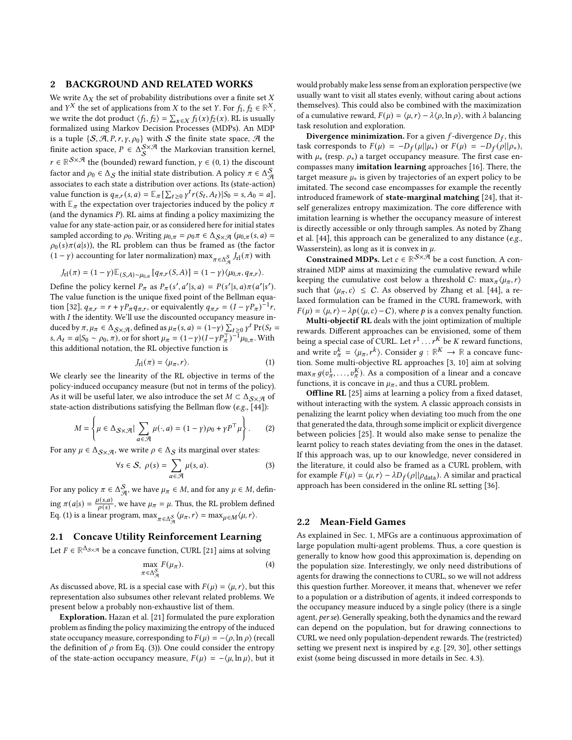#### <span id="page-1-5"></span>2 BACKGROUND AND RELATED WORKS

We write  $\Delta_X$  the set of probability distributions over a finite set X and  $Y^X$  the set of applications from X to the set Y. For  $f_1, f_2 \in \mathbb{R}^X$ , we write the dot product  $\langle f_1, f_2 \rangle = \sum_{x \in X} f_1(x) f_2(x)$ . RL is usually formalized using Markov Decision Processes (MDPs). An MDP is a tuple  $\{S, A, P, r, \gamma, \rho_0\}$  with S the finite state space, A the finite action space,  $P \in \Delta_S^{S \times \mathcal{A}}$  the Markovian transition kernel,  $r \in \mathbb{R}^{S \times \mathcal{A}}$  the (bounded) reward function,  $\gamma \in (0, 1)$  the discount factor and  $\rho_0 \in \Delta_{\mathcal{S}}$  the initial state distribution. A policy  $\pi \in \Delta_{\mathcal{A}}^{\mathcal{S}}$ associates to each state a distribution over actions. Its (state-action) value function is  $q_{\pi,r}(s, a) = \mathbb{E}_{\pi} \left[ \sum_{t \geq 0} \gamma^t r(S_t, A_t) | S_0 \right] = s, A_0 = a$ , with  $\mathbb{E}_{\pi}$  the expectation over trajectories induced by the policy  $\pi$ (and the dynamics  $P$ ). RL aims at finding a policy maximizing the value for any state-action pair, or as considered here for initial states sampled according to  $\rho_0$ . Writing  $\mu_{0,\pi} = \rho_0 \pi \in \Delta_{\mathcal{S} \times \mathcal{A}} (\mu_{0,\pi}(s, a) =$  $\rho_0(s)\pi(a|s)$ , the RL problem can thus be framed as (the factor  $(1 - \gamma)$  accounting for later normalization) max  $\pi \in \Delta_{\mathcal{A}}^S$   $J_{r1}(\pi)$  with

$$
J_{\rm rl}(\pi) = (1 - \gamma) \mathbb{E}_{(S,A) \sim \mu_{0,\pi}}[q_{\pi,r}(S,A)] = (1 - \gamma) \langle \mu_{0,\pi}, q_{\pi,r} \rangle.
$$

Define the policy kernel  $P_{\pi}$  as  $P_{\pi}(s', a'|s, a) = P(s'|s, a)\pi(a'|s').$ The value function is the unique fixed point of the Bellman equa-tion [\[32\]](#page-8-13),  $q_{\pi,r} = r + \gamma P_{\pi} q_{\pi,r}$ , or equivalently  $q_{\pi,r} = (I - \gamma P_{\pi})^{-1} r$ , with  $I$  the identity. We'll use the discounted occupancy measure induced by  $\pi$ ,  $\mu_{\pi} \in \Delta_{\mathcal{S} \times \mathcal{A}}$ , defined as  $\mu_{\pi}(s, a) = (1 - \gamma) \sum_{t \geq 0} \gamma^t Pr(S_t =$ s,  $A_t = a | S_0 \sim \rho_0, \pi$ , or for short  $\mu_{\pi} = (1 - \gamma)(1 - \gamma P_{\pi}^{-1})^{-1} \mu_{0,\pi}$ . With this additional notation, the RL objective function is

$$
J_{\rm rl}(\pi) = \langle \mu_{\pi}, r \rangle. \tag{1}
$$

We clearly see the linearity of the RL objective in terms of the policy-induced occupancy measure (but not in terms of the policy). As it will be useful later, we also introduce the set  $M \subset \Delta_{S \times \mathcal{A}}$  of state-action distributions satisfying the Bellman flow (e.g., [\[44\]](#page-8-3)):

$$
M = \left\{ \mu \in \Delta_{\mathcal{S} \times \mathcal{A}} | \sum_{a \in \mathcal{A}} \mu(\cdot, a) = (1 - \gamma)\rho_0 + \gamma P^\top \mu \right\}.
$$
 (2)

For any  $\mu \in \Delta_{\mathcal{S} \times \mathcal{A}}$ , we write  $\rho \in \Delta_{\mathcal{S}}$  its marginal over states:

$$
\forall s \in S, \ \rho(s) = \sum_{a \in \mathcal{A}} \mu(s, a). \tag{3}
$$

For any policy  $\pi \in \Delta_{\mathcal{A}}^{\mathcal{S}},$  we have  $\mu_{\pi} \in M$ , and for any  $\mu \in M$ , defining  $\pi(a|s) = \frac{\mu(s,a)}{a(s)}$  $\frac{\mu(s,a)}{\rho(s)}$ , we have  $\mu_{\pi} = \mu$ . Thus, the RL problem defined Eq. [\(1\)](#page-1-0) is a linear program,  $\max_{\pi \in \Delta_{\mathcal{A}}^{\mathcal{S}}} \langle \mu_{\pi}, r \rangle = \max_{\mu \in \mathcal{M}} \langle \mu, r \rangle$ .

# <span id="page-1-3"></span>2.1 Concave Utility Reinforcement Learning

Let  $F \in \mathbb{R}^{\Delta_{\mathcal{S} \times \mathcal{A}}}$  be a concave function, CURL [\[21\]](#page-8-1) aims at solving

$$
\max_{\pi \in \Delta_{\mathcal{A}}^{\mathcal{S}}} F(\mu_{\pi}). \tag{4}
$$

As discussed above, RL is a special case with  $F(\mu) = \langle \mu, r \rangle$ , but this representation also subsumes other relevant related problems. We present below a probably non-exhaustive list of them.

Exploration. Hazan et al. [\[21\]](#page-8-1) formulated the pure exploration problem as finding the policy maximizing the entropy of the induced state occupancy measure, corresponding to  $F(\mu) = -\langle \rho, \ln \rho \rangle$  (recall the definition of  $\rho$  from Eq. [\(3\)](#page-1-1)). One could consider the entropy of the state-action occupancy measure,  $F(\mu) = -\langle \mu, \ln \mu \rangle$ , but it would probably make less sense from an exploration perspective (we usually want to visit all states evenly, without caring about actions themselves). This could also be combined with the maximization of a cumulative reward,  $F(\mu) = \langle \mu, r \rangle - \lambda \langle \rho, \ln \rho \rangle$ , with  $\lambda$  balancing task resolution and exploration.

**Divergence minimization.** For a given  $f$ -divergence  $D_f$ , this task corresponds to  $F(\mu) = -D_f(\mu||\mu_*)$  or  $F(\mu) = -D_f(\rho||\rho_*),$ with  $\mu_*$  (resp.  $\rho_*$ ) a target occupancy measure. The first case encompasses many imitation learning approaches [\[16\]](#page-8-2). There, the target measure  $\mu_*$  is given by trajectories of an expert policy to be imitated. The second case encompasses for example the recently introduced framework of state-marginal matching [\[24\]](#page-8-14), that itself generalizes entropy maximization. The core difference with imitation learning is whether the occupancy measure of interest is directly accessible or only through samples. As noted by Zhang et al. [\[44\]](#page-8-3), this approach can be generalized to any distance (e.g., Wasserstein), as long as it is convex in  $\mu$ .

**Constrained MDPs.** Let  $c \in \mathbb{R}^{\mathcal{S} \times \mathcal{A}}$  be a cost function. A constrained MDP aims at maximizing the cumulative reward while keeping the cumulative cost below a threshold C:  $\max_{\pi} \langle \mu_{\pi}, r \rangle$ such that  $\langle \mu_{\pi}, c \rangle \leq C$ . As observed by Zhang et al. [\[44\]](#page-8-3), a relaxed formulation can be framed in the CURL framework, with  $F(\mu) = \langle \mu, r \rangle - \lambda p(\langle \mu, c \rangle - C)$ , where p is a convex penalty function.

Multi-objectif RL deals with the joint optimization of multiple rewards. Different approaches can be envisioned, some of them being a special case of CURL. Let  $r^1 \dots r^K$  be K reward functions, and write  $v_{\pi}^{k} = \langle \mu_{\pi}, r^{k} \rangle$ . Consider  $g : \mathbb{R}^{K} \to \mathbb{R}$  a concave function. Some multi-objective RL approaches [\[3,](#page-8-15) [10\]](#page-8-16) aim at solving  $\max_{\pi} g(v_{\pi}^1, \ldots, v_{\pi}^K)$ . As a composition of a linear and a concave functions, it is concave in  $\mu_{\pi}$ , and thus a CURL problem.

<span id="page-1-4"></span><span id="page-1-0"></span>**Offline RL** [\[25\]](#page-8-17) aims at learning a policy from a fixed dataset, without interacting with the system. A classic approach consists in penalizing the learnt policy when deviating too much from the one that generated the data, through some implicit or explicit divergence between policies [\[25\]](#page-8-17). It would also make sense to penalize the learnt policy to reach states deviating from the ones in the dataset. If this approach was, up to our knowledge, never considered in the literature, it could also be framed as a CURL problem, with for example  $F(\mu) = \langle \mu, r \rangle - \lambda D_f(\rho || \rho_{data})$ . A similar and practical approach has been considered in the online RL setting [\[36\]](#page-8-18).

#### <span id="page-1-6"></span><span id="page-1-1"></span>2.2 Mean-Field Games

<span id="page-1-2"></span>As explained in Sec. [1,](#page-0-0) MFGs are a continuous approximation of large population multi-agent problems. Thus, a core question is generally to know how good this approximation is, depending on the population size. Interestingly, we only need distributions of agents for drawing the connections to CURL, so we will not address this question further. Moreover, it means that, whenever we refer to a population or a distribution of agents, it indeed corresponds to the occupancy measure induced by a single policy (there is a single agent, per se). Generally speaking, both the dynamics and the reward can depend on the population, but for drawing connections to CURL we need only population-dependent rewards. The (restricted) setting we present next is inspired by e.g. [\[29,](#page-8-12) [30\]](#page-8-8), other settings exist (some being discussed in more details in Sec. [4.3\)](#page-5-0).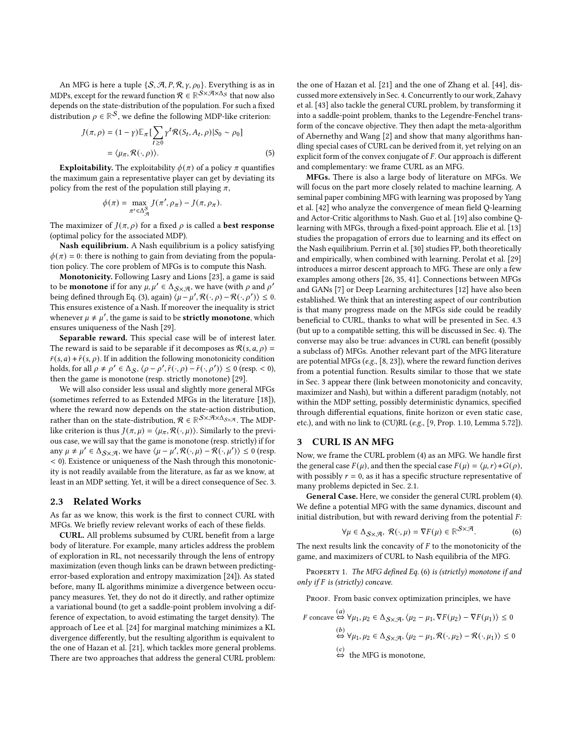An MFG is here a tuple  $\{S, A, P, R, \gamma, \rho_0\}$ . Everything is as in MDPs, except for the reward function  $\mathcal{R} \in \mathbb{R}^{\mathcal{S} \times \mathcal{A} \times \Delta_{\mathcal{S}}}$  that now also depends on the state-distribution of the population. For such a fixed distribution  $\rho \in \mathbb{R}^{\mathcal{S}}$ , we define the following MDP-like criterion:

$$
J(\pi, \rho) = (1 - \gamma) \mathbb{E}_{\pi} \left[ \sum_{t \ge 0} \gamma^t \mathcal{R}(S_t, A_t, \rho) | S_0 \sim \rho_0 \right]
$$

$$
= \langle \mu_{\pi}, \mathcal{R}(\cdot, \rho) \rangle. \tag{5}
$$

**Exploitability.** The exploitability  $\phi(\pi)$  of a policy  $\pi$  quantifies the maximum gain a representative player can get by deviating its policy from the rest of the population still playing  $\pi$ ,

$$
\phi(\pi) = \max_{\pi' \in \Delta_{\mathcal{A}}^{\mathcal{S}}} J(\pi', \rho_{\pi}) - J(\pi, \rho_{\pi}).
$$

The maximizer of  $J(\pi, \rho)$  for a fixed  $\rho$  is called a **best response** (optimal policy for the associated MDP).

Nash equilibrium. A Nash equilibrium is a policy satisfying  $\phi(\pi) = 0$ : there is nothing to gain from deviating from the population policy. The core problem of MFGs is to compute this Nash.

Monotonicity. Following Lasry and Lions [\[23\]](#page-8-4), a game is said to be **monotone** if for any  $\mu, \mu' \in \Delta_{\mathcal{S} \times \mathcal{A}}$ , we have (with  $\rho$  and  $\rho'$ being defined through Eq. [\(3\)](#page-1-1), again)  $\langle \mu - \mu', \mathcal{R}(\cdot, \rho) - \mathcal{R}(\cdot, \rho') \rangle \leq 0$ . This ensures existence of a Nash. If moreover the inequality is strict whenever  $\mu \neq \mu'$ , the game is said to be **strictly monotone**, which ensures uniqueness of the Nash [\[29\]](#page-8-12).

Separable reward. This special case will be of interest later. The reward is said to be separable if it decomposes as  $\mathcal{R}(s, a, \rho) =$  $\bar{r}(s, a) + \tilde{r}(s, \rho)$ . If in addition the following monotonicity condition holds, for all  $\rho \neq \rho' \in \Delta_{\mathcal{S}}, \langle \rho - \rho', \tilde{r}(\cdot, \rho) - \tilde{r}(\cdot, \rho') \rangle \leq 0$  (resp. < 0), then the game is monotone (resp. strictly monotone) [\[29\]](#page-8-12).

We will also consider less usual and slightly more general MFGs (sometimes referred to as Extended MFGs in the literature [\[18\]](#page-8-19)), where the reward now depends on the state-action distribution, rather than on the state-distribution,  $\mathcal{R} \in \mathbb{R}^{\mathcal{S} \times \mathcal{A} \times \Delta_{\mathcal{S} \times \mathcal{A}}}$ . The MDPlike criterion is thus  $J(\pi, \mu) = \langle \mu_{\pi}, \mathcal{R}(\cdot, \mu) \rangle$ . Similarly to the previous case, we will say that the game is monotone (resp. strictly) if for any  $\mu \neq \mu' \in \Delta_{\mathcal{S} \times \mathcal{A}}$ , we have  $\langle \mu - \mu', \mathcal{R}(\cdot, \mu) - \mathcal{R}(\cdot, \mu') \rangle \leq 0$  (resp. < 0). Existence or uniqueness of the Nash through this monotonicity is not readily available from the literature, as far as we know, at least in an MDP setting. Yet, it will be a direct consequence of Sec. [3.](#page-2-0)

#### 2.3 Related Works

As far as we know, this work is the first to connect CURL with MFGs. We briefly review relevant works of each of these fields.

CURL. All problems subsumed by CURL benefit from a large body of literature. For example, many articles address the problem of exploration in RL, not necessarily through the lens of entropy maximization (even though links can be drawn between predictingerror-based exploration and entropy maximization [\[24\]](#page-8-14)). As stated before, many IL algorithms minimize a divergence between occupancy measures. Yet, they do not do it directly, and rather optimize a variational bound (to get a saddle-point problem involving a difference of expectation, to avoid estimating the target density). The approach of Lee et al. [\[24\]](#page-8-14) for marginal matching minimizes a KL divergence differently, but the resulting algorithm is equivalent to the one of Hazan et al. [\[21\]](#page-8-1), which tackles more general problems. There are two approaches that address the general CURL problem: the one of Hazan et al. [\[21\]](#page-8-1) and the one of Zhang et al. [\[44\]](#page-8-3), discussed more extensively in Sec. [4.](#page-3-0) Concurrently to our work, Zahavy et al. [\[43\]](#page-8-20) also tackle the general CURL problem, by transforming it into a saddle-point problem, thanks to the Legendre-Fenchel transform of the concave objective. They then adapt the meta-algorithm of Abernethy and Wang [\[2\]](#page-8-21) and show that many algorithms handling special cases of CURL can be derived from it, yet relying on an explicit form of the convex conjugate of  $F$ . Our approach is different and complementary: we frame CURL as an MFG.

<span id="page-2-3"></span>MFGs. There is also a large body of literature on MFGs. We will focus on the part more closely related to machine learning. A seminal paper combining MFG with learning was proposed by Yang et al. [\[42\]](#page-8-9) who analyze the convergence of mean field Q-learning and Actor-Critic algorithms to Nash. Guo et al. [\[19\]](#page-8-7) also combine Qlearning with MFGs, through a fixed-point approach. Elie et al. [\[13\]](#page-8-22) studies the propagation of errors due to learning and its effect on the Nash equilibrium. Perrin et al. [\[30\]](#page-8-8) studies FP, both theoretically and empirically, when combined with learning. Perolat et al. [\[29\]](#page-8-12) introduces a mirror descent approach to MFG. These are only a few examples among others [\[26,](#page-8-23) [35,](#page-8-24) [41\]](#page-8-25). Connections between MFGs and GANs [\[7\]](#page-8-6) or Deep Learning architectures [\[12\]](#page-8-26) have also been established. We think that an interesting aspect of our contribution is that many progress made on the MFGs side could be readily beneficial to CURL, thanks to what will be presented in Sec. [4.3](#page-5-0) (but up to a compatible setting, this will be discussed in Sec. [4\)](#page-3-0). The converse may also be true: advances in CURL can benefit (possibly a subclass of) MFGs. Another relevant part of the MFG literature are potential MFGs (e.g., [\[8,](#page-8-10) [23\]](#page-8-4)), where the reward function derives from a potential function. Results similar to those that we state in Sec. [3](#page-2-0) appear there (link between monotonicity and concavity, maximizer and Nash), but within a different paradigm (notably, not within the MDP setting, possibly deterministic dynamics, specified through differential equations, finite horizon or even static case, etc.), and with no link to (CU)RL (e.g., [\[9,](#page-8-27) Prop. 1.10, Lemma 5.72]).

#### <span id="page-2-0"></span>3 CURL IS AN MFG

Now, we frame the CURL problem [\(4\)](#page-1-2) as an MFG. We handle first the general case  $F(\mu)$ , and then the special case  $F(\mu) = \langle \mu, r \rangle + G(\rho)$ , with possibly  $r = 0$ , as it has a specific structure representative of many problems depicted in Sec. [2.1.](#page-1-3)

General Case. Here, we consider the general CURL problem [\(4\)](#page-1-2). We define a potential MFG with the same dynamics, discount and initial distribution, but with reward deriving from the potential  $F$ :

<span id="page-2-1"></span>
$$
\forall \mu \in \Delta_{\mathcal{S} \times \mathcal{A}}, \ \mathcal{R}(\cdot, \mu) = \nabla F(\mu) \in \mathbb{R}^{\mathcal{S} \times \mathcal{A}}.
$$
 (6)

The next results link the concavity of  $F$  to the monotonicity of the game, and maximizers of CURL to Nash equilibria of the MFG.

<span id="page-2-2"></span>PROPERTY 1. The MFG defined Eq. [\(6\)](#page-2-1) is (strictly) monotone if and only if  $F$  is (strictly) concave.

PROOF. From basic convex optimization principles, we have

$$
F \text{ concave} \stackrel{(a)}{\Leftrightarrow} \forall \mu_1, \mu_2 \in \Delta_{\mathcal{S} \times \mathcal{A}}, \langle \mu_2 - \mu_1, \nabla F(\mu_2) - \nabla F(\mu_1) \rangle \le 0
$$
  
\n
$$
\stackrel{(b)}{\Leftrightarrow} \forall \mu_1, \mu_2 \in \Delta_{\mathcal{S} \times \mathcal{A}}, \langle \mu_2 - \mu_1, \mathcal{R}(\cdot, \mu_2) - \mathcal{R}(\cdot, \mu_1) \rangle \le 0
$$
  
\n
$$
\stackrel{(c)}{\Leftrightarrow} \text{ the MFG is monotone},
$$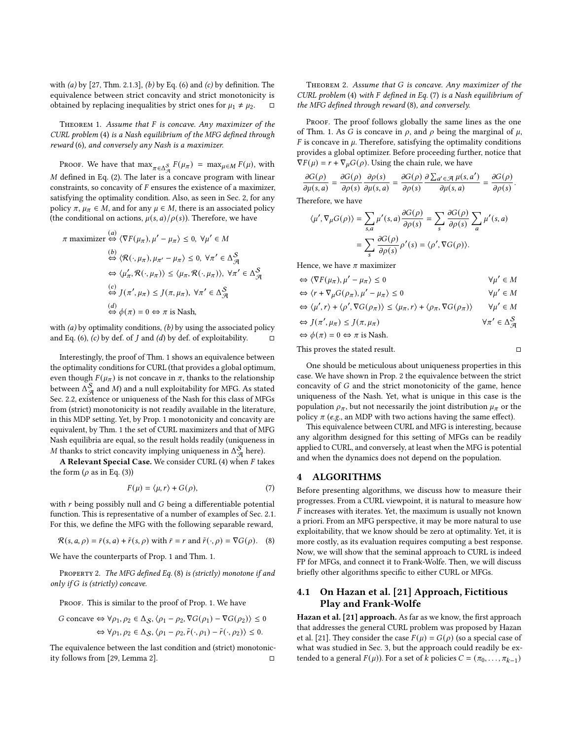with  $(a)$  by [\[27,](#page-8-28) Thm. 2.1.3],  $(b)$  by Eq.  $(6)$  and  $(c)$  by definition. The equivalence between strict concavity and strict monotonicity is obtained by replacing inequalities by strict ones for  $\mu_1 \neq \mu_2$ .  $\Box$ 

<span id="page-3-1"></span>THEOREM 1. Assume that  $F$  is concave. Any maximizer of the CURL problem [\(4\)](#page-1-2) is a Nash equilibrium of the MFG defined through reward [\(6\)](#page-2-1), and conversely any Nash is a maximizer.

Proof. We have that  $\max_{\pi \in \Delta_{\mathcal{A}}^S} F(\mu_{\pi}) = \max_{\mu \in M} F(\mu)$ , with  $M$  defined in Eq. [\(2\)](#page-1-4). The later is a concave program with linear constraints, so concavity of  $F$  ensures the existence of a maximizer, satisfying the optimality condition. Also, as seen in Sec. [2,](#page-1-5) for any policy  $\pi$ ,  $\mu_{\pi} \in M$ , and for any  $\mu \in M$ , there is an associated policy (the conditional on actions,  $\mu(s, a)/\rho(s)$ ). Therefore, we have

$$
\pi \text{ maximizer} \stackrel{(a)}{\Leftrightarrow} \langle \nabla F(\mu_{\pi}), \mu' - \mu_{\pi} \rangle \le 0, \ \forall \mu' \in M
$$
\n
$$
\stackrel{(b)}{\Leftrightarrow} \langle \mathcal{R}(\cdot, \mu_{\pi}), \mu_{\pi'} - \mu_{\pi} \rangle \le 0, \ \forall \pi' \in \Delta_{\mathcal{A}}^{\mathcal{S}}
$$
\n
$$
\Leftrightarrow \langle \mu'_{\pi}, \mathcal{R}(\cdot, \mu_{\pi}) \rangle \le \langle \mu_{\pi}, \mathcal{R}(\cdot, \mu_{\pi}) \rangle, \ \forall \pi' \in \Delta_{\mathcal{A}}^{\mathcal{S}}
$$
\n
$$
\stackrel{(c)}{\Leftrightarrow} J(\pi', \mu_{\pi}) \le J(\pi, \mu_{\pi}), \ \forall \pi' \in \Delta_{\mathcal{A}}^{\mathcal{S}}
$$
\n
$$
\stackrel{(d)}{\Leftrightarrow} \phi(\pi) = 0 \Leftrightarrow \pi \text{ is Nash},
$$

with  $(a)$  by optimality conditions,  $(b)$  by using the associated policy and Eq. [\(6\)](#page-2-1),  $(c)$  by def. of  $J$  and  $(d)$  by def. of exploitability.

Interestingly, the proof of Thm. [1](#page-3-1) shows an equivalence between the optimality conditions for CURL (that provides a global optimum, even though  $F(\mu_{\pi})$  is not concave in  $\pi$ , thanks to the relationship between  $\Delta_{\mathcal{A}}^{\mathcal{S}}$  and  $M$ ) and a null exploitability for MFG. As stated Sec. [2.2,](#page-1-6) existence or uniqueness of the Nash for this class of MFGs from (strict) monotonicity is not readily available in the literature, in this MDP setting. Yet, by Prop. [1](#page-2-2) monotonicity and concavity are equivalent, by Thm. [1](#page-3-1) the set of CURL maximizers and that of MFG Nash equilibria are equal, so the result holds readily (uniqueness in M thanks to strict concavity implying uniqueness in  $\Delta_{\mathcal{A}}^{\mathcal{S}}$  here).

A Relevant Special Case. We consider CURL [\(4\)](#page-1-2) when  $F$  takes the form ( $\rho$  as in Eq. [\(3\)](#page-1-1))

$$
F(\mu) = \langle \mu, r \rangle + G(\rho), \tag{7}
$$

with  $r$  being possibly null and  $G$  being a differentiable potential function. This is representative of a number of examples of Sec. [2.1.](#page-1-3) For this, we define the MFG with the following separable reward,

$$
\mathcal{R}(s, a, \rho) = \bar{r}(s, a) + \tilde{r}(s, \rho) \text{ with } \bar{r} = r \text{ and } \tilde{r}(\cdot, \rho) = \nabla G(\rho). \quad (8)
$$

We have the counterparts of Prop. [1](#page-2-2) and Thm. [1.](#page-3-1)

<span id="page-3-4"></span>PROPERTY 2. The MFG defined Eq. [\(8\)](#page-3-2) is (strictly) monotone if and only if  $G$  is (strictly) concave.

PROOF. This is similar to the proof of Prop. [1.](#page-2-2) We have

$$
G \text{ concave} \Leftrightarrow \forall \rho_1, \rho_2 \in \Delta_{\mathcal{S}}, \langle \rho_1 - \rho_2, \nabla G(\rho_1) - \nabla G(\rho_2) \rangle \le 0
$$

$$
\Leftrightarrow \forall \rho_1, \rho_2 \in \Delta_{\mathcal{S}}, \langle \rho_1 - \rho_2, \tilde{r}(\cdot, \rho_1) - \tilde{r}(\cdot, \rho_2) \rangle \le 0.
$$

The equivalence between the last condition and (strict) monotonic-ity follows from [\[29,](#page-8-12) Lemma 2].  $\Box$ 

THEOREM 2. Assume that  $G$  is concave. Any maximizer of the CURL problem [\(4\)](#page-1-2) with  $F$  defined in Eq. [\(7\)](#page-3-3) is a Nash equilibrium of the MFG defined through reward [\(8\)](#page-3-2), and conversely.

PROOF. The proof follows globally the same lines as the one of Thm. [1.](#page-3-1) As G is concave in  $\rho$ , and  $\rho$  being the marginal of  $\mu$ ,  $F$  is concave in  $\mu$ . Therefore, satisfying the optimality conditions provides a global optimizer. Before proceeding further, notice that  $\nabla F(\mu) = r + \nabla_{\mu} G(\rho)$ . Using the chain rule, we have

$$
\frac{\partial G(\rho)}{\partial \mu(s,a)} = \frac{\partial G(\rho)}{\partial \rho(s)} \frac{\partial \rho(s)}{\partial \mu(s,a)} = \frac{\partial G(\rho)}{\partial \rho(s)} \frac{\partial \sum_{a' \in \mathcal{A}} \mu(s,a')}{\partial \mu(s,a)} = \frac{\partial G(\rho)}{\partial \rho(s)}.
$$

Therefore, we have

$$
\langle \mu', \nabla_{\mu} G(\rho) \rangle = \sum_{s,a} \mu'(s, a) \frac{\partial G(\rho)}{\partial \rho(s)} = \sum_{s} \frac{\partial G(\rho)}{\partial \rho(s)} \sum_{a} \mu'(s, a)
$$

$$
= \sum_{s} \frac{\partial G(\rho)}{\partial \rho(s)} \rho'(s) = \langle \rho', \nabla G(\rho) \rangle.
$$

Hence, we have  $\pi$  maximizer

$$
\Leftrightarrow \langle \nabla F(\mu_{\pi}), \mu' - \mu_{\pi} \rangle \le 0 \qquad \forall \mu' \in M
$$

$$
\Leftrightarrow \langle r + \nabla_\mu G(\rho_\pi), \mu' - \mu_\pi \rangle \le 0 \qquad \forall \mu' \in M
$$

$$
\Leftrightarrow \langle \mu', r \rangle + \langle \rho', \nabla G(\rho_{\pi}) \rangle \le \langle \mu_{\pi}, r \rangle + \langle \rho_{\pi}, \nabla G(\rho_{\pi}) \rangle \qquad \forall \mu' \in M
$$

 $\in \Delta_{\mathcal{A}}^{\mathcal{S}}$ 

$$
\Leftrightarrow J(\pi', \mu_{\pi}) \leq J(\pi, \mu_{\pi}) \qquad \forall \pi'
$$

$$
\Leftrightarrow \phi(\pi) = 0 \Leftrightarrow \pi \text{ is Nash.}
$$

This proves the stated result.  $\Box$ 

One should be meticulous about uniqueness properties in this case. We have shown in Prop. [2](#page-3-4) the equivalence between the strict concavity of  $G$  and the strict monotonicity of the game, hence uniqueness of the Nash. Yet, what is unique in this case is the population  $\rho_{\pi}$ , but not necessarily the joint distribution  $\mu_{\pi}$  or the policy  $\pi$  (e.g., an MDP with two actions having the same effect).

This equivalence between CURL and MFG is interesting, because any algorithm designed for this setting of MFGs can be readily applied to CURL, and conversely, at least when the MFG is potential and when the dynamics does not depend on the population.

#### <span id="page-3-0"></span>4 ALGORITHMS

<span id="page-3-3"></span><span id="page-3-2"></span>Before presenting algorithms, we discuss how to measure their progresses. From a CURL viewpoint, it is natural to measure how  $F$  increases with iterates. Yet, the maximum is usually not known a priori. From an MFG perspective, it may be more natural to use exploitability, that we know should be zero at optimality. Yet, it is more costly, as its evaluation requires computing a best response. Now, we will show that the seminal approach to CURL is indeed FP for MFGs, and connect it to Frank-Wolfe. Then, we will discuss briefly other algorithms specific to either CURL or MFGs.

# 4.1 On Hazan et al. [\[21\]](#page-8-1) Approach, Fictitious Play and Frank-Wolfe

Hazan et al. [\[21\]](#page-8-1) approach. As far as we know, the first approach that addresses the general CURL problem was proposed by Hazan et al. [\[21\]](#page-8-1). They consider the case  $F(\mu) = G(\rho)$  (so a special case of what was studied in Sec. [3,](#page-2-0) but the approach could readily be extended to a general  $F(\mu)$ ). For a set of  $k$  policies  $C = (\pi_0, \dots, \pi_{k-1})$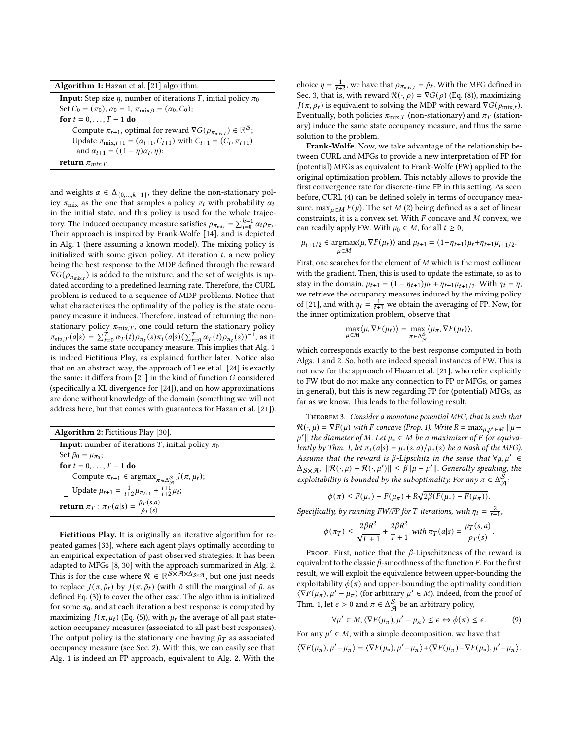| Algorithm 1: Hazan et al. [21] algorithm. |  |  |  |
|-------------------------------------------|--|--|--|
|-------------------------------------------|--|--|--|

<span id="page-4-0"></span>**Input:** Step size  $\eta$ , number of iterations *T*, initial policy  $\pi_0$ Set  $C_0 = (\pi_0)$ ,  $\alpha_0 = 1$ ,  $\pi_{\text{mix},0} = (\alpha_0, C_0)$ ; for  $t = 0, \ldots, T-1$  do Compute  $\pi_{t+1}$ , optimal for reward  $\nabla G(\rho_{\pi_{\text{mix}}}) \in \mathbb{R}^{\mathcal{S}}$ ; Update  $\pi_{\text{mix},t+1} = (\alpha_{t+1}, C_{t+1})$  with  $C_{t+1} = (C_t, \pi_{t+1})$ and  $\alpha_{t+1} = ((1 - \eta)\alpha_t, \eta);$ return  $\pi_{mix,T}$ 

and weights  $\alpha \in \Delta_{\{0,\ldots,k-1\}}$ , they define the non-stationary policy  $\pi_{mix}$  as the one that samples a policy  $\pi_i$  with probability  $\alpha_i$ in the initial state, and this policy is used for the whole trajectory. The induced occupancy measure satisfies  $\rho_{\pi_{mix}} = \sum_{i=0}^{k-1} \alpha_i \rho_{\pi_i}$ . Their approach is inspired by Frank-Wolfe [\[14\]](#page-8-11), and is depicted in Alg. [1](#page-4-0) (here assuming a known model). The mixing policy is initialized with some given policy. At iteration  $t$ , a new policy being the best response to the MDP defined through the reward  $\nabla G(\rho_{\pi_{\text{mix}}})$  is added to the mixture, and the set of weights is updated according to a predefined learning rate. Therefore, the CURL problem is reduced to a sequence of MDP problems. Notice that what characterizes the optimality of the policy is the state occupancy measure it induces. Therefore, instead of returning the nonstationary policy  $\pi_{\text{mix}, T}$ , one could return the stationary policy  $\pi_{\text{sta}, T}(a|s) = \sum_{t=0}^{T} \alpha_T(t) \rho_{\pi_t}(s) \pi_t(a|s) (\sum_{t=0}^{T} \alpha_T(t) \rho_{\pi_t}(s))^{-1}$ , as it induces the same state occupancy measure. This implies that Alg. [1](#page-4-0) is indeed Fictitious Play, as explained further later. Notice also that on an abstract way, the approach of Lee et al. [\[24\]](#page-8-14) is exactly the same: it differs from  $[21]$  in the kind of function  $G$  considered (specifically a KL divergence for [\[24\]](#page-8-14)), and on how approximations are done without knowledge of the domain (something we will not address here, but that comes with guarantees for Hazan et al. [\[21\]](#page-8-1)).

<span id="page-4-1"></span>

| <b>Algorithm 2: Fictitious Play [30].</b>                                                                       |
|-----------------------------------------------------------------------------------------------------------------|
| <b>Input:</b> number of iterations T, initial policy $\pi_0$                                                    |
| Set $\bar{\mu}_0 = \mu_{\pi_0}$ ;                                                                               |
| for $t = 0, , T - 1$ do                                                                                         |
| Compute $\pi_{t+1} \in \operatorname{argmax}_{\pi \in \Delta_{\mathcal{A}}^{\mathcal{S}}} J(\pi, \bar{\mu}_t);$ |
| Update $\bar{\mu}_{t+1} = \frac{1}{t+2} \mu_{\pi_{t+1}} + \frac{t+1}{t+2} \bar{\mu}_t;$                         |
| return $\bar{\pi}_T: \bar{\pi}_T(a s) = \frac{\bar{\mu}_T(s,a)}{\bar{\rho}_T(s)}$                               |

Fictitious Play. It is originally an iterative algorithm for repeated games [\[33\]](#page-8-29), where each agent plays optimally according to an empirical expectation of past observed strategies. It has been adapted to MFGs [\[8,](#page-8-10) [30\]](#page-8-8) with the approach summarized in Alg. [2.](#page-4-1) This is for the case where  $\mathcal{R} \in \mathbb{R}^{\tilde{\mathcal{S}} \times \mathcal{A} \times \Delta_{\mathcal{S} \times \mathcal{A}}}$ , but one just needs to replace  $J(\pi, \bar{\mu}_t)$  by  $J(\pi, \bar{\rho}_t)$  (with  $\bar{\rho}$  still the marginal of  $\bar{\mu}$ , as defined Eq. [\(3\)](#page-1-1)) to cover the other case. The algorithm is initialized for some  $\pi_0$ , and at each iteration a best response is computed by maximizing  $J(\pi, \bar{\mu}_t)$  (Eq. [\(5\)](#page-2-3)), with  $\bar{\mu}_t$  the average of all past stateaction occupancy measures (associated to all past best responses). The output policy is the stationary one having  $\bar{\mu}_T$  as associated occupancy measure (see Sec. [2\)](#page-1-5). With this, we can easily see that Alg. [1](#page-4-0) is indeed an FP approach, equivalent to Alg. [2.](#page-4-1) With the

choice  $\eta = \frac{1}{t+2}$ , we have that  $\rho_{\pi_{\text{mix},t}} = \bar{\rho}_t$ . With the MFG defined in Sec. [3,](#page-2-0) that is, with reward  $\mathcal{R}(\cdot,\rho) = \nabla G(\rho)$  (Eq. [\(8\)](#page-3-2)), maximizing  $J(\pi, \bar{\rho}_t)$  is equivalent to solving the MDP with reward  $\nabla G(\rho_{\text{mix}})$ . Eventually, both policies  $\pi_{\text{mix}, T}$  (non-stationary) and  $\bar{\pi}_T$  (stationary) induce the same state occupancy measure, and thus the same solution to the problem.

Frank-Wolfe. Now, we take advantage of the relationship between CURL and MFGs to provide a new interpretation of FP for (potential) MFGs as equivalent to Frank-Wolfe (FW) applied to the original optimization problem. This notably allows to provide the first convergence rate for discrete-time FP in this setting. As seen before, CURL [\(4\)](#page-1-2) can be defined solely in terms of occupancy measure, max<sub> $u \in M$ </sub>  $F(\mu)$ . The set  $M$  [\(2\)](#page-1-4) being defined as a set of linear constraints, it is a convex set. With  $F$  concave and  $M$  convex, we can readily apply FW. With  $\mu_0 \in M$ , for all  $t \geq 0$ ,

$$
\mu_{t+1/2}\in\mathop{\rm argmax}_{\mu\in M}\langle\mu,\nabla F(\mu_t)\rangle\text{ and }\mu_{t+1}=(1-\eta_{t+1})\mu_t+\eta_{t+1}\mu_{t+1/2}.
$$

First, one searches for the element of  $M$  which is the most collinear with the gradient. Then, this is used to update the estimate, so as to stay in the domain,  $\mu_{t+1} = (1 - \eta_{t+1})\mu_t + \eta_{t+1}\mu_{t+1/2}$ . With  $\eta_t = \eta$ , we retrieve the occupancy measures induced by the mixing policy of [\[21\]](#page-8-1), and with  $\eta_t = \frac{1}{t+1}$  we obtain the averaging of FP. Now, for the inner optimization problem, observe that

$$
\max_{\mu \in M} \langle \mu, \nabla F(\mu_t) \rangle = \max_{\pi \in \Delta_{\mathcal{A}}^{\mathcal{S}}} \langle \mu_{\pi}, \nabla F(\mu_t) \rangle,
$$

which corresponds exactly to the best response computed in both Algs. [1](#page-4-0) and [2.](#page-4-1) So, both are indeed special instances of FW. This is not new for the approach of Hazan et al. [\[21\]](#page-8-1), who refer explicitly to FW (but do not make any connection to FP or MFGs, or games in general), but this is new regarding FP for (potential) MFGs, as far as we know. This leads to the following result.

<span id="page-4-3"></span>Theorem 3. Consider a monotone potential MFG, that is such that  $\mathcal{R}(\cdot, \mu) = \nabla F(\mu)$  with F concave (Prop. [1\)](#page-2-2). Write  $R = \max_{u, u' \in M} ||\mu \mu' \parallel$  the diameter of M. Let  $\mu_* \in M$  be a maximizer of F (or equiva-lently by Thm. [1,](#page-3-1) let  $\pi_*(a|s) = \mu_*(s, a)/\rho_*(s)$  be a Nash of the MFG). Assume that the reward is  $\beta$ -Lipschitz in the sense that  $\forall \mu, \mu' \in$  $\Delta_{\mathcal{S}\times\mathcal{A}},\|\mathcal{R}(\cdot,\mu)-\mathcal{R}(\cdot,\mu')\|\leq \hat{\beta}\|\mu-\mu'\|.$  Generally speaking, the exploitability is bounded by the suboptimality. For any  $\pi \in \Delta_{\mathcal{A}}^{\mathcal{S}}$ .

$$
\phi(\pi) \leq F(\mu_*) - F(\mu_\pi) + R\sqrt{2\beta(F(\mu_*) - F(\mu_\pi))}.
$$

Specifically, by running FW/FP for T iterations, with  $\eta_t = \frac{2}{t+1}$ ,

$$
\phi(\pi_T)\leq \frac{2\beta R^2}{\sqrt{T+1}}+\frac{2\beta R^2}{T+1}\text{ with }\pi_T(a|s)=\frac{\mu_T(s,a)}{\rho_T(s)}.
$$

PROOF. First, notice that the  $\beta$ -Lipschitzness of the reward is equivalent to the classic  $\beta$ -smoothness of the function  $F$ . For the first result, we will exploit the equivalence between upper-bounding the exploitability  $\phi(\pi)$  and upper-bounding the optimality condition  $\langle \nabla F(\mu_{\pi}), \mu' - \mu_{\pi} \rangle$  (for arbitrary  $\mu' \in M$ ). Indeed, from the proof of Thm. [1,](#page-3-1) let  $\epsilon > 0$  and  $\pi \in \Delta_{\mathcal{A}}^{\mathcal{S}}$  be an arbitrary policy,

<span id="page-4-2"></span>
$$
\forall \mu' \in M, \langle \nabla F(\mu_{\pi}), \mu' - \mu_{\pi} \rangle \le \epsilon \Leftrightarrow \phi(\pi) \le \epsilon. \tag{9}
$$

For any  $\mu' \in M$ , with a simple decomposition, we have that

$$
\langle \nabla F(\mu_{\pi}), \mu' - \mu_{\pi} \rangle = \langle \nabla F(\mu_{*}), \mu' - \mu_{\pi} \rangle + \langle \nabla F(\mu_{\pi}) - \nabla F(\mu_{*}), \mu' - \mu_{\pi} \rangle.
$$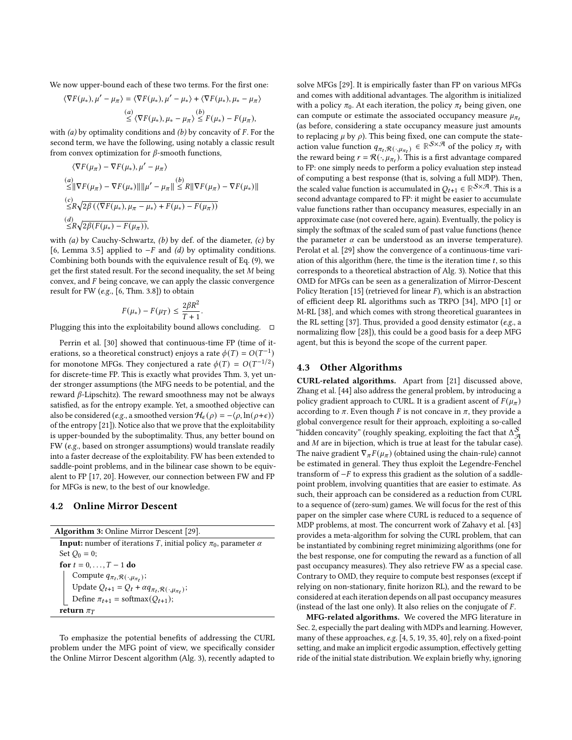We now upper-bound each of these two terms. For the first one:

$$
\langle \nabla F(\mu_*), \mu' - \mu_\pi \rangle = \langle \nabla F(\mu_*), \mu' - \mu_* \rangle + \langle \nabla F(\mu_*), \mu_* - \mu_\pi \rangle
$$
  
\n(a)  
\n
$$
\leq \langle \nabla F(\mu_*), \mu_* - \mu_\pi \rangle \leq F(\mu_*) - F(\mu_\pi),
$$

with  $(a)$  by optimality conditions and  $(b)$  by concavity of  $F$ . For the second term, we have the following, using notably a classic result from convex optimization for  $\beta$ -smooth functions,

$$
\langle \nabla F(\mu_{\pi}) - \nabla F(\mu_{*}), \mu' - \mu_{\pi} \rangle
$$
  
\n(a)  
\n
$$
\leq ||\nabla F(\mu_{\pi}) - \nabla F(\mu_{*})|| ||\mu' - \mu_{\pi}|| \leq R ||\nabla F(\mu_{\pi}) - \nabla F(\mu_{*})||
$$
  
\n(c)  
\n
$$
\leq R \sqrt{2\beta (\langle \nabla F(\mu_{*}), \mu_{\pi} - \mu_{*} \rangle + F(\mu_{*}) - F(\mu_{\pi}))}
$$
  
\n(d)  
\n
$$
\leq R \sqrt{2\beta (F(\mu_{*}) - F(\mu_{\pi}))},
$$

with  $(a)$  by Cauchy-Schwartz,  $(b)$  by def. of the diameter,  $(c)$  by [\[6,](#page-8-30) Lemma 3.5] applied to  $-F$  and (d) by optimality conditions. Combining both bounds with the equivalence result of Eq. [\(9\)](#page-4-2), we get the first stated result. For the second inequality, the set  $M$  being convex, and  $F$  being concave, we can apply the classic convergence result for FW (e.g., [\[6,](#page-8-30) Thm. 3.8]) to obtain

$$
F(\mu_*) - F(\mu_T) \le \frac{2\beta R^2}{T+1}.
$$

Plugging this into the exploitability bound allows concluding.  $\square$ 

Perrin et al. [\[30\]](#page-8-8) showed that continuous-time FP (time of iterations, so a theoretical construct) enjoys a rate  $\phi(T) = O(T^{-1})$ for monotone MFGs. They conjectured a rate  $\phi(T) = O(T^{-1/2})$ for discrete-time FP. This is exactly what provides Thm. [3,](#page-4-3) yet under stronger assumptions (the MFG needs to be potential, and the reward  $\beta$ -Lipschitz). The reward smoothness may not be always satisfied, as for the entropy example. Yet, a smoothed objective can also be considered (e.g., a smoothed version  $H_{\epsilon}(\rho) = -\langle \rho, \ln(\rho + \epsilon) \rangle$ of the entropy [\[21\]](#page-8-1)). Notice also that we prove that the exploitability is upper-bounded by the suboptimality. Thus, any better bound on FW (e.g., based on stronger assumptions) would translate readily into a faster decrease of the exploitability. FW has been extended to saddle-point problems, and in the bilinear case shown to be equivalent to FP [\[17,](#page-8-31) [20\]](#page-8-32). However, our connection between FW and FP for MFGs is new, to the best of our knowledge.

#### <span id="page-5-2"></span>4.2 Online Mirror Descent

<span id="page-5-1"></span>

| <b>Algorithm 3: Online Mirror Descent [29].</b>                                                                                        |
|----------------------------------------------------------------------------------------------------------------------------------------|
| <b>Input:</b> number of iterations T, initial policy $\pi_0$ , parameter $\alpha$                                                      |
| Set $Q_0 = 0$ ;                                                                                                                        |
| for $t = 0, , T - 1$ do                                                                                                                |
|                                                                                                                                        |
| Compute $q_{\pi_t, \mathcal{R}(\cdot, \mu_{\pi_t})}$ ;<br>Update $Q_{t+1} = Q_t + \alpha q_{\pi_t, \mathcal{R}(\cdot, \mu_{\pi_t})}$ ; |
| Define $\pi_{t+1}$ = softmax( $Q_{t+1}$ );                                                                                             |
| return $\pi_T$                                                                                                                         |

To emphasize the potential benefits of addressing the CURL problem under the MFG point of view, we specifically consider the Online Mirror Descent algorithm (Alg. [3\)](#page-5-1), recently adapted to solve MFGs [\[29\]](#page-8-12). It is empirically faster than FP on various MFGs and comes with additional advantages. The algorithm is initialized with a policy  $\pi_0$ . At each iteration, the policy  $\pi_t$  being given, one can compute or estimate the associated occupancy measure  $\mu_{\pi}$ . (as before, considering a state occupancy measure just amounts to replacing  $\mu$  by  $\rho$ ). This being fixed, one can compute the stateaction value function  $q_{\pi_t, \mathcal{R}(\cdot, \mu_{\pi_t})} \in \mathbb{R}^{\mathcal{S} \times \mathcal{A}}$  of the policy  $\pi_t$  with the reward being  $r = \mathcal{R}(\cdot, \mu_{\pi_t})$ . This is a first advantage compared to FP: one simply needs to perform a policy evaluation step instead of computing a best response (that is, solving a full MDP). Then, the scaled value function is accumulated in  $Q_{t+1} \in \mathbb{R}^{S \times \mathcal{A}}$ . This is a second advantage compared to FP: it might be easier to accumulate value functions rather than occupancy measures, especially in an approximate case (not covered here, again). Eventually, the policy is simply the softmax of the scaled sum of past value functions (hence the parameter  $\alpha$  can be understood as an inverse temperature). Perolat et al. [\[29\]](#page-8-12) show the convergence of a continuous-time variation of this algorithm (here, the time is the iteration time  $t$ , so this corresponds to a theoretical abstraction of Alg. [3\)](#page-5-1). Notice that this OMD for MFGs can be seen as a generalization of Mirror-Descent Policy Iteration [\[15\]](#page-8-33) (retrieved for linear  $F$ ), which is an abstraction of efficient deep RL algorithms such as TRPO [\[34\]](#page-8-34), MPO [\[1\]](#page-8-35) or M-RL [\[38\]](#page-8-36), and which comes with strong theoretical guarantees in the RL setting [\[37\]](#page-8-37). Thus, provided a good density estimator (e.g., a normalizing flow [\[28\]](#page-8-38)), this could be a good basis for a deep MFG agent, but this is beyond the scope of the current paper.

### <span id="page-5-0"></span>4.3 Other Algorithms

CURL-related algorithms. Apart from [\[21\]](#page-8-1) discussed above, Zhang et al. [\[44\]](#page-8-3) also address the general problem, by introducing a policy gradient approach to CURL. It is a gradient ascent of  $F(\mu_{\pi})$ according to  $\pi$ . Even though F is not concave in  $\pi$ , they provide a global convergence result for their approach, exploiting a so-called "hidden concavity" (roughly speaking, exploiting the fact that  $\Delta_{\mathcal{A}}^{\mathcal{S}}$ and  $M$  are in bijection, which is true at least for the tabular case). The naive gradient  $\nabla_{\pi} F(\mu_{\pi})$  (obtained using the chain-rule) cannot be estimated in general. They thus exploit the Legendre-Fenchel transform of  $-F$  to express this gradient as the solution of a saddlepoint problem, involving quantities that are easier to estimate. As such, their approach can be considered as a reduction from CURL to a sequence of (zero-sum) games. We will focus for the rest of this paper on the simpler case where CURL is reduced to a sequence of MDP problems, at most. The concurrent work of Zahavy et al. [\[43\]](#page-8-20) provides a meta-algorithm for solving the CURL problem, that can be instantiated by combining regret minimizing algorithms (one for the best response, one for computing the reward as a function of all past occupancy measures). They also retrieve FW as a special case. Contrary to OMD, they require to compute best responses (except if relying on non-stationary, finite horizon RL), and the reward to be considered at each iteration depends on all past occupancy measures (instead of the last one only). It also relies on the conjugate of  $F$ .

MFG-related algorithms. We covered the MFG literature in Sec. [2,](#page-1-5) especially the part dealing with MDPs and learning. However, many of these approaches, e.g. [\[4,](#page-8-39) [5,](#page-8-40) [19,](#page-8-7) [35,](#page-8-24) [40\]](#page-8-41), rely on a fixed-point setting, and make an implicit ergodic assumption, effectively getting ride of the initial state distribution. We explain briefly why, ignoring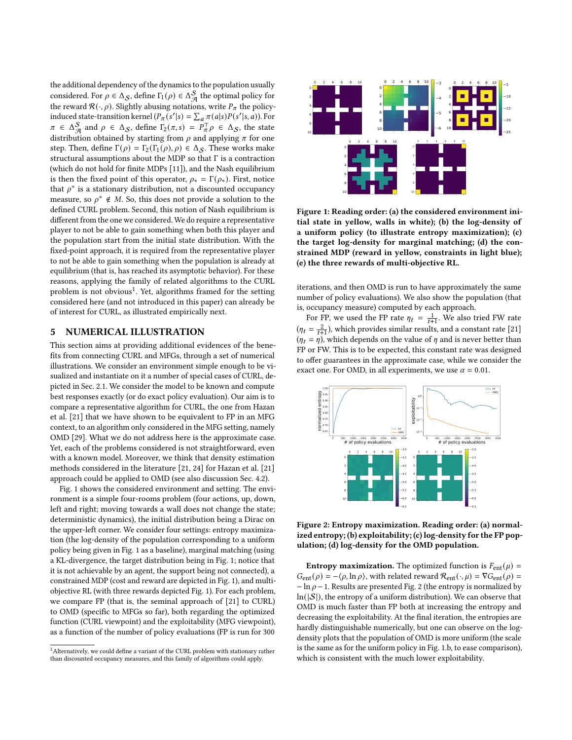the additional dependency of the dynamics to the population usually considered. For  $\rho \in \Delta_{\mathcal{S}}$ , define  $\Gamma_1(\rho) \in \Delta_{\mathcal{A}}^{\mathcal{S}}$  the optimal policy for the reward  $\mathcal{R}(\cdot,\rho)$ . Slightly abusing notations, write  $P_{\pi}$  the policyinduced state-transition kernel  $(P_\pi(s'|s) = \sum_a \pi(a|s)P(s'|s, a))$ . For  $\pi \in \Delta_{\mathcal{A}}^{\mathcal{S}}$  and  $\rho \in \Delta_{\mathcal{S}}$ , define  $\Gamma_2(\pi, s) = P_{\pi}^{\top} \rho \in \Delta_{\mathcal{S}}$ , the state distribution obtained by starting from  $\rho$  and applying  $\pi$  for one step. Then, define  $\Gamma(\rho) = \Gamma_2(\Gamma_1(\rho), \rho) \in \Delta_{\mathcal{S}}$ . These works make structural assumptions about the MDP so that Γ is a contraction (which do not hold for finite MDPs [\[11\]](#page-8-42)), and the Nash equilibrium is then the fixed point of this operator,  $\rho_* = \Gamma(\rho_*)$ . First, notice that  $\rho^*$  is a stationary distribution, not a discounted occupancy measure, so  $\rho^* \notin M$ . So, this does not provide a solution to the defined CURL problem. Second, this notion of Nash equilibrium is different from the one we considered. We do require a representative player to not be able to gain something when both this player and the population start from the initial state distribution. With the fixed-point approach, it is required from the representative player to not be able to gain something when the population is already at equilibrium (that is, has reached its asymptotic behavior). For these reasons, applying the family of related algorithms to the CURL  $\frac{1}{2}$  $\frac{1}{2}$  $\frac{1}{2}$  problem is not obvious<sup>1</sup>. Yet, algorithms framed for the setting considered here (and not introduced in this paper) can already be of interest for CURL, as illustrated empirically next.

# 5 NUMERICAL ILLUSTRATION

This section aims at providing additional evidences of the benefits from connecting CURL and MFGs, through a set of numerical illustrations. We consider an environment simple enough to be visualized and instantiate on it a number of special cases of CURL, depicted in Sec. [2.1.](#page-1-3) We consider the model to be known and compute best responses exactly (or do exact policy evaluation). Our aim is to compare a representative algorithm for CURL, the one from Hazan et al. [\[21\]](#page-8-1) that we have shown to be equivalent to FP in an MFG context, to an algorithm only considered in the MFG setting, namely OMD [\[29\]](#page-8-12). What we do not address here is the approximate case. Yet, each of the problems considered is not straightforward, even with a known model. Moreover, we think that density estimation methods considered in the literature [\[21,](#page-8-1) [24\]](#page-8-14) for Hazan et al. [\[21\]](#page-8-1) approach could be applied to OMD (see also discussion Sec. [4.2\)](#page-5-2).

Fig. [1](#page-6-1) shows the considered environment and setting. The environment is a simple four-rooms problem (four actions, up, down, left and right; moving towards a wall does not change the state; deterministic dynamics), the initial distribution being a Dirac on the upper-left corner. We consider four settings: entropy maximization (the log-density of the population corresponding to a uniform policy being given in Fig. [1](#page-6-1) as a baseline), marginal matching (using a KL-divergence, the target distribution being in Fig. [1;](#page-6-1) notice that it is not achievable by an agent, the support being not connected), a constrained MDP (cost and reward are depicted in Fig. [1\)](#page-6-1), and multiobjective RL (with three rewards depicted Fig. [1\)](#page-6-1). For each problem, we compare FP (that is, the seminal approach of [\[21\]](#page-8-1) to CURL) to OMD (specific to MFGs so far), both regarding the optimized function (CURL viewpoint) and the exploitability (MFG viewpoint), as a function of the number of policy evaluations (FP is run for 300

<span id="page-6-0"></span>

<span id="page-6-1"></span>

Figure 1: Reading order: (a) the considered environment initial state in yellow, walls in white); (b) the log-density of a uniform policy (to illustrate entropy maximization); (c) the target log-density for marginal matching; (d) the constrained MDP (reward in yellow, constraints in light blue); (e) the three rewards of multi-objective RL.

iterations, and then OMD is run to have approximately the same number of policy evaluations). We also show the population (that is, occupancy measure) computed by each approach.

For FP, we used the FP rate  $\eta_t = \frac{1}{t+1}$ . We also tried FW rate  $(\eta_t = \frac{2}{t+1})$ , which provides similar results, and a constant rate [\[21\]](#page-8-1)  $(\eta_t = \eta)$ , which depends on the value of  $\eta$  and is never better than FP or FW. This is to be expected, this constant rate was designed to offer guarantees in the approximate case, while we consider the exact one. For OMD, in all experiments, we use  $\alpha = 0.01$ .

<span id="page-6-2"></span>

Figure 2: Entropy maximization. Reading order: (a) normalized entropy; (b) exploitability; (c) log-density for the FP population; (d) log-density for the OMD population.

**Entropy maximization.** The optimized function is  $F_{ent}(\mu) =$  $G_{ent}(\rho) = -\langle \rho, \ln \rho \rangle$ , with related reward  $\mathcal{R}_{ent}(\cdot, \mu) = \nabla G_{ent}(\rho) =$  $-\ln \rho - 1$ . Results are presented Fig. [2](#page-6-2) (the entropy is normalized by  $ln(|S|)$ , the entropy of a uniform distribution). We can observe that OMD is much faster than FP both at increasing the entropy and decreasing the exploitability. At the final iteration, the entropies are hardly distinguishable numerically, but one can observe on the logdensity plots that the population of OMD is more uniform (the scale is the same as for the uniform policy in Fig. [1.](#page-6-1)b, to ease comparison), which is consistent with the much lower exploitability.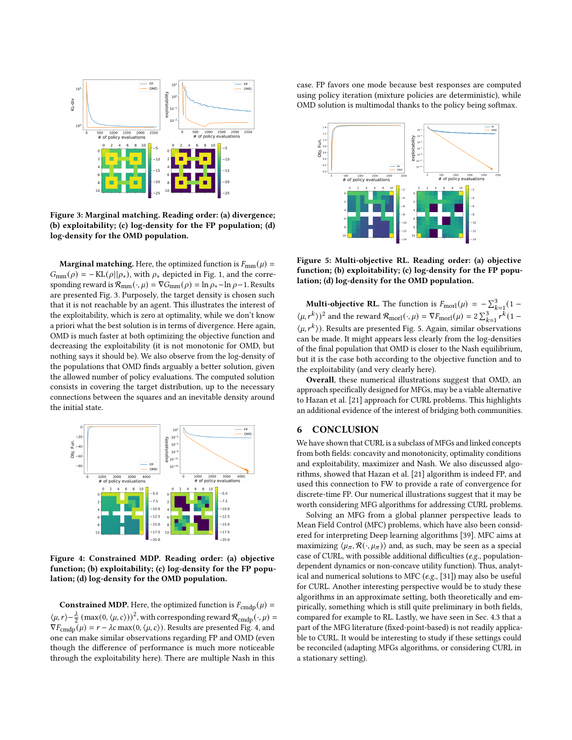<span id="page-7-0"></span>

Figure 3: Marginal matching. Reading order: (a) divergence; (b) exploitability; (c) log-density for the FP population; (d) log-density for the OMD population.

**Marginal matching.** Here, the optimized function is  $F_{mm}(\mu)$  =  $G_{mm}(\rho) = -KL(\rho||\rho_*)$ , with  $\rho_*$  depicted in Fig. [1,](#page-6-1) and the corresponding reward is  $\mathcal{R}_{mm}(\cdot, \mu) = \nabla G_{mm}(\rho) = \ln \rho_* - \ln \rho - 1$ . Results are presented Fig. [3.](#page-7-0) Purposely, the target density is chosen such that it is not reachable by an agent. This illustrates the interest of the exploitability, which is zero at optimality, while we don't know a priori what the best solution is in terms of divergence. Here again, OMD is much faster at both optimizing the objective function and decreasing the exploitability (it is not monotonic for OMD, but nothing says it should be). We also observe from the log-density of the populations that OMD finds arguably a better solution, given the allowed number of policy evaluations. The computed solution consists in covering the target distribution, up to the necessary connections between the squares and an inevitable density around the initial state.

<span id="page-7-1"></span>

Figure 4: Constrained MDP. Reading order: (a) objective function; (b) exploitability; (c) log-density for the FP population; (d) log-density for the OMD population.

**Constrained MDP.** Here, the optimized function is  $F_{\text{cmdp}}(\mu) =$  $\langle \mu, r \rangle - \frac{\lambda}{2} \left( \max(0, \langle \mu, c \rangle) \right)^2$ , with corresponding reward  $\mathcal{R}_{\text{cmdp}}(\cdot, \mu) =$  $\nabla F_{\text{cmdp}}(\mu) = r - \lambda c \max(0, \langle \mu, c \rangle)$ . Results are presented Fig. [4,](#page-7-1) and one can make similar observations regarding FP and OMD (even though the difference of performance is much more noticeable through the exploitability here). There are multiple Nash in this

case. FP favors one mode because best responses are computed using policy iteration (mixture policies are deterministic), while OMD solution is multimodal thanks to the policy being softmax.

<span id="page-7-2"></span>

Figure 5: Multi-objective RL. Reading order: (a) objective function; (b) exploitability; (c) log-density for the FP population; (d) log-density for the OMD population.

**Multi-objective RL.** The function is  $F_{\text{morl}}(\mu) = -\sum_{k=1}^{3} (1 \langle \mu, r^k \rangle^2$  and the reward  $\mathcal{R}_{\text{morl}}(\cdot, \mu) = \nabla F_{\text{morl}}(\mu) = 2 \sum_{k=1}^3 \sum_{r=1}^{n-1} r^k (1 - \mu)^2$  $\langle \mu, r^k \rangle$ ). Results are presented Fig. [5.](#page-7-2) Again, similar observations can be made. It might appears less clearly from the log-densities of the final population that OMD is closer to the Nash equilibrium, but it is the case both according to the objective function and to the exploitability (and very clearly here).

Overall, these numerical illustrations suggest that OMD, an approach specifically designed for MFGs, may be a viable alternative to Hazan et al. [\[21\]](#page-8-1) approach for CURL problems. This highlights an additional evidence of the interest of bridging both communities.

#### 6 CONCLUSION

We have shown that CURL is a subclass of MFGs and linked concepts from both fields: concavity and monotonicity, optimality conditions and exploitability, maximizer and Nash. We also discussed algorithms, showed that Hazan et al. [\[21\]](#page-8-1) algorithm is indeed FP, and used this connection to FW to provide a rate of convergence for discrete-time FP. Our numerical illustrations suggest that it may be worth considering MFG algorithms for addressing CURL problems.

Solving an MFG from a global planner perspective leads to Mean Field Control (MFC) problems, which have also been considered for interpreting Deep learning algorithms [\[39\]](#page-8-43). MFC aims at maximizing  $\langle \mu_{\pi}, \mathcal{R}(\cdot, \mu_{\pi}) \rangle$  and, as such, may be seen as a special case of CURL, with possible additional difficulties (e.g., populationdependent dynamics or non-concave utility function). Thus, analytical and numerical solutions to MFC (e.g., [\[31\]](#page-8-44)) may also be useful for CURL. Another interesting perspective would be to study these algorithms in an approximate setting, both theoretically and empirically, something which is still quite preliminary in both fields, compared for example to RL. Lastly, we have seen in Sec. [4.3](#page-5-0) that a part of the MFG literature (fixed-point-based) is not readily applicable to CURL. It would be interesting to study if these settings could be reconciled (adapting MFGs algorithms, or considering CURL in a stationary setting).